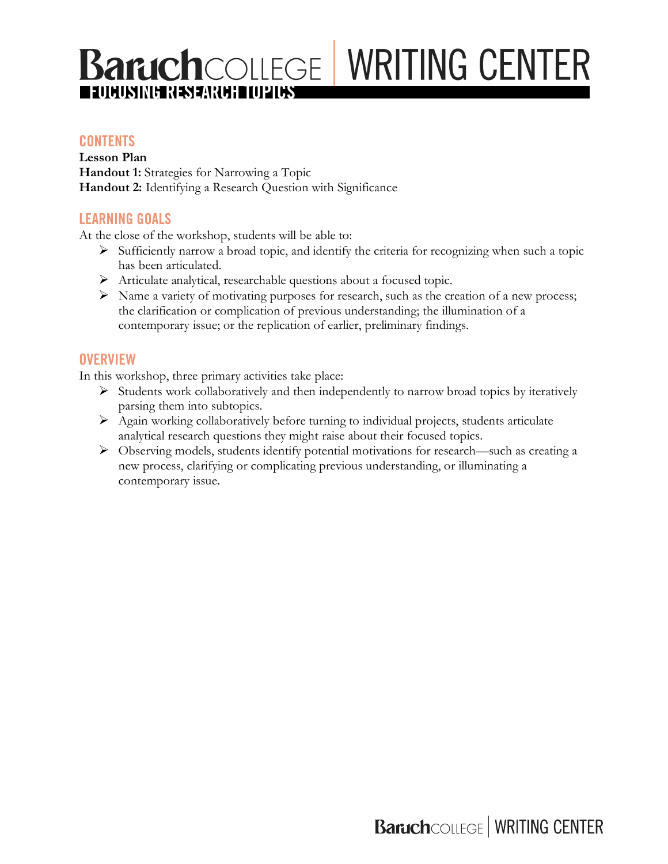# **Baruch**COLLEGE WRITING CENTER **FOCUSING RESEARCH TOPICS**

## **CONTENTS**

**Lesson Plan Handout 1:** Strategies for Narrowing a Topic **Handout 2:** Identifying a Research Question with Significance

## **LEARNING GOALS**

At the close of the workshop, students will be able to:

- $\triangleright$  Sufficiently narrow a broad topic, and identify the criteria for recognizing when such a topic has been articulated.
- Ø Articulate analytical, researchable questions about a focused topic.
- $\triangleright$  Name a variety of motivating purposes for research, such as the creation of a new process; the clarification or complication of previous understanding; the illumination of a contemporary issue; or the replication of earlier, preliminary findings.

#### **OVERVIEW**

In this workshop, three primary activities take place:

- $\triangleright$  Students work collaboratively and then independently to narrow broad topics by iteratively parsing them into subtopics.
- $\triangleright$  Again working collaboratively before turning to individual projects, students articulate analytical research questions they might raise about their focused topics.
- Ø Observing models, students identify potential motivations for research—such as creating a new process, clarifying or complicating previous understanding, or illuminating a contemporary issue.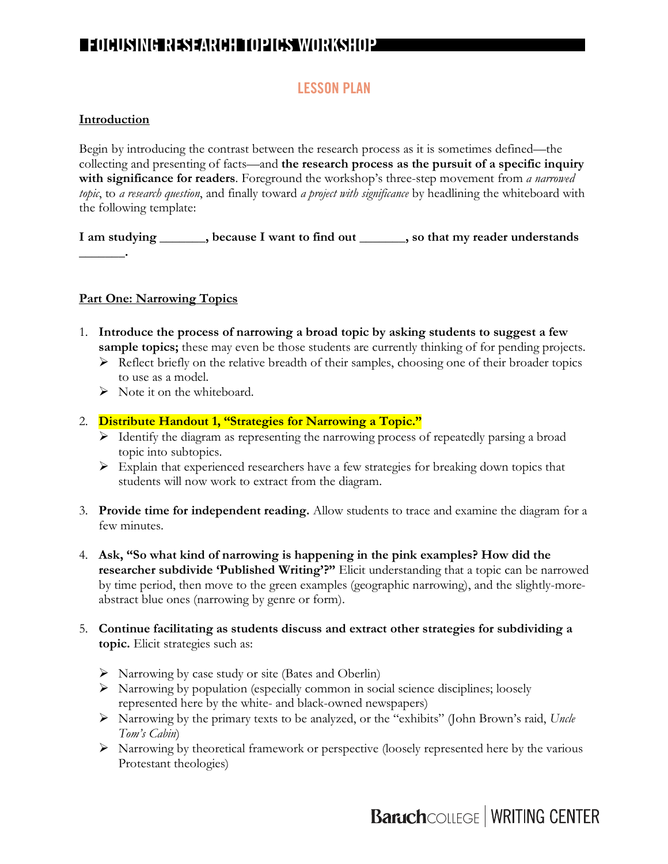# **LESSON PLAN**

#### **Introduction**

Begin by introducing the contrast between the research process as it is sometimes defined—the collecting and presenting of facts—and **the research process as the pursuit of a specific inquiry with significance for readers**. Foreground the workshop's three-step movement from *a narrowed topic*, to *a research question*, and finally toward *a project with significance* by headlining the whiteboard with the following template:

**I am studying \_\_\_\_\_\_\_, because I want to find out \_\_\_\_\_\_\_, so that my reader understands \_\_\_\_\_\_\_.**

#### **Part One: Narrowing Topics**

- 1. **Introduce the process of narrowing a broad topic by asking students to suggest a few sample topics;** these may even be those students are currently thinking of for pending projects.
	- $\triangleright$  Reflect briefly on the relative breadth of their samples, choosing one of their broader topics to use as a model.
	- $\triangleright$  Note it on the whiteboard.
- 2. **Distribute Handout 1, "Strategies for Narrowing a Topic."**
	- Ø Identify the diagram as representing the narrowing process of repeatedly parsing a broad topic into subtopics.
	- $\triangleright$  Explain that experienced researchers have a few strategies for breaking down topics that students will now work to extract from the diagram.
- 3. **Provide time for independent reading.** Allow students to trace and examine the diagram for a few minutes.
- 4. **Ask, "So what kind of narrowing is happening in the pink examples? How did the researcher subdivide 'Published Writing'?"** Elicit understanding that a topic can be narrowed by time period, then move to the green examples (geographic narrowing), and the slightly-moreabstract blue ones (narrowing by genre or form).
- 5. **Continue facilitating as students discuss and extract other strategies for subdividing a topic.** Elicit strategies such as:
	- $\triangleright$  Narrowing by case study or site (Bates and Oberlin)
	- $\triangleright$  Narrowing by population (especially common in social science disciplines; loosely represented here by the white- and black-owned newspapers)
	- Ø Narrowing by the primary texts to be analyzed, or the "exhibits" (John Brown's raid, *Uncle Tom's Cabin*)
	- $\triangleright$  Narrowing by theoretical framework or perspective (loosely represented here by the various Protestant theologies)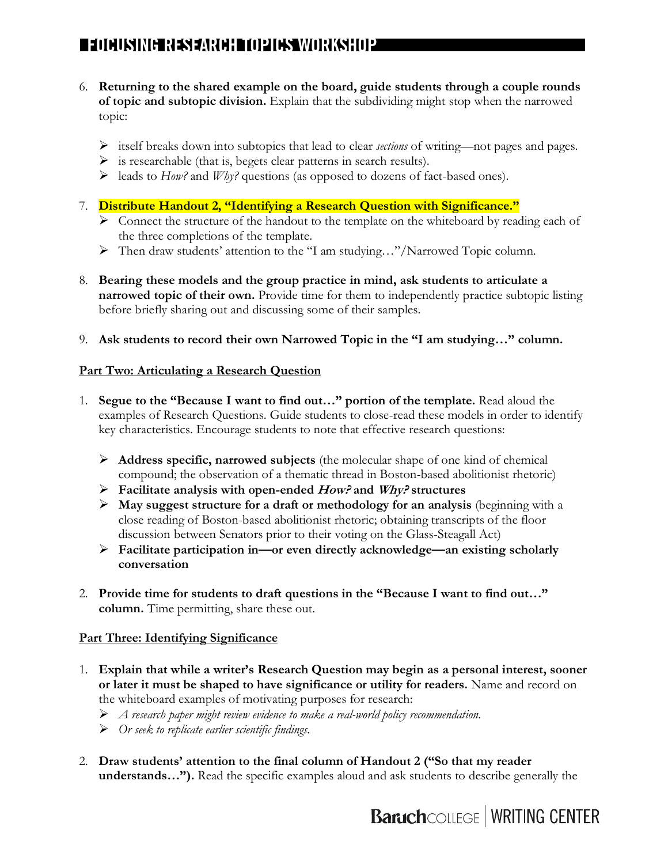- 6. **Returning to the shared example on the board, guide students through a couple rounds of topic and subtopic division.** Explain that the subdividing might stop when the narrowed topic:
	- Ø itself breaks down into subtopics that lead to clear *sections* of writing—not pages and pages.
	- $\triangleright$  is researchable (that is, begets clear patterns in search results).
	- Ø leads to *How?* and *Why?* questions (as opposed to dozens of fact-based ones).
- 7. **Distribute Handout 2, "Identifying a Research Question with Significance."**
	- $\triangleright$  Connect the structure of the handout to the template on the whiteboard by reading each of the three completions of the template.
	- Ø Then draw students' attention to the "I am studying…"/Narrowed Topic column.
- 8. **Bearing these models and the group practice in mind, ask students to articulate a narrowed topic of their own.** Provide time for them to independently practice subtopic listing before briefly sharing out and discussing some of their samples.
- 9. **Ask students to record their own Narrowed Topic in the "I am studying…" column.**

#### **Part Two: Articulating a Research Question**

- 1. **Segue to the "Because I want to find out…" portion of the template.** Read aloud the examples of Research Questions. Guide students to close-read these models in order to identify key characteristics. Encourage students to note that effective research questions:
	- Ø **Address specific, narrowed subjects** (the molecular shape of one kind of chemical compound; the observation of a thematic thread in Boston-based abolitionist rhetoric)
	- Ø **Facilitate analysis with open-ended How? and Why? structures**
	- $\triangleright$  **May suggest structure for a draft or methodology for an analysis** (beginning with a close reading of Boston-based abolitionist rhetoric; obtaining transcripts of the floor discussion between Senators prior to their voting on the Glass-Steagall Act)
	- Ø **Facilitate participation in—or even directly acknowledge—an existing scholarly conversation**
- 2. **Provide time for students to draft questions in the "Because I want to find out…" column.** Time permitting, share these out.

#### **Part Three: Identifying Significance**

- 1. **Explain that while a writer's Research Question may begin as a personal interest, sooner or later it must be shaped to have significance or utility for readers.** Name and record on the whiteboard examples of motivating purposes for research:
	- Ø *A research paper might review evidence to make a real-world policy recommendation.*
	- Ø *Or seek to replicate earlier scientific findings.*
- 2. **Draw students' attention to the final column of Handout 2 ("So that my reader understands…").** Read the specific examples aloud and ask students to describe generally the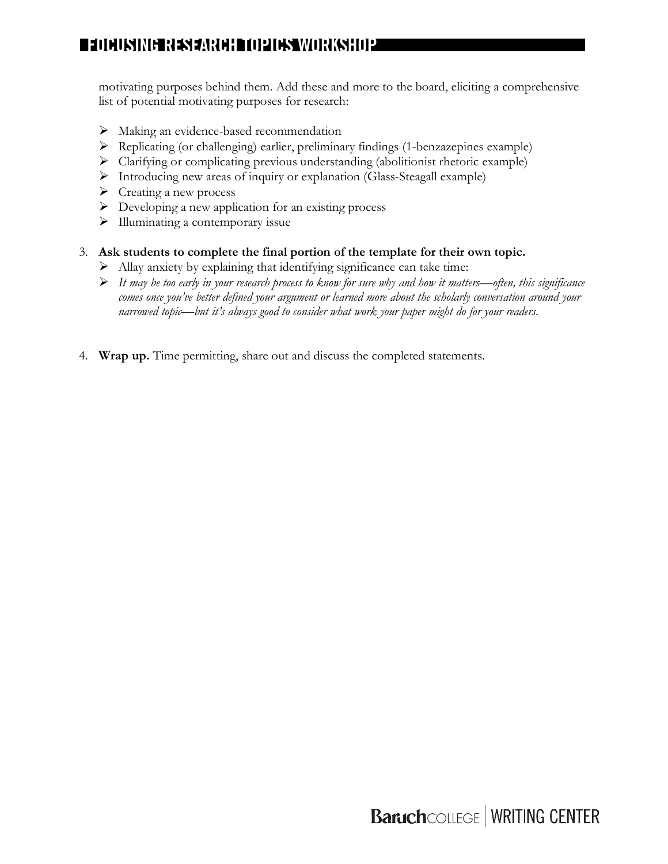motivating purposes behind them. Add these and more to the board, eliciting a comprehensive list of potential motivating purposes for research:

- $\triangleright$  Making an evidence-based recommendation
- $\triangleright$  Replicating (or challenging) earlier, preliminary findings (1-benzazepines example)
- Ø Clarifying or complicating previous understanding (abolitionist rhetoric example)
- Ø Introducing new areas of inquiry or explanation (Glass-Steagall example)
- $\triangleright$  Creating a new process
- $\triangleright$  Developing a new application for an existing process
- $\triangleright$  Illuminating a contemporary issue

#### 3. **Ask students to complete the final portion of the template for their own topic.**

- $\triangleright$  Allay anxiety by explaining that identifying significance can take time:
- Ø *It may be too early in your research process to know for sure why and how it matters—often, this significance comes once you've better defined your argument or learned more about the scholarly conversation around your narrowed topic—but it's always good to consider what work your paper might do for your readers.*
- 4. **Wrap up.** Time permitting, share out and discuss the completed statements.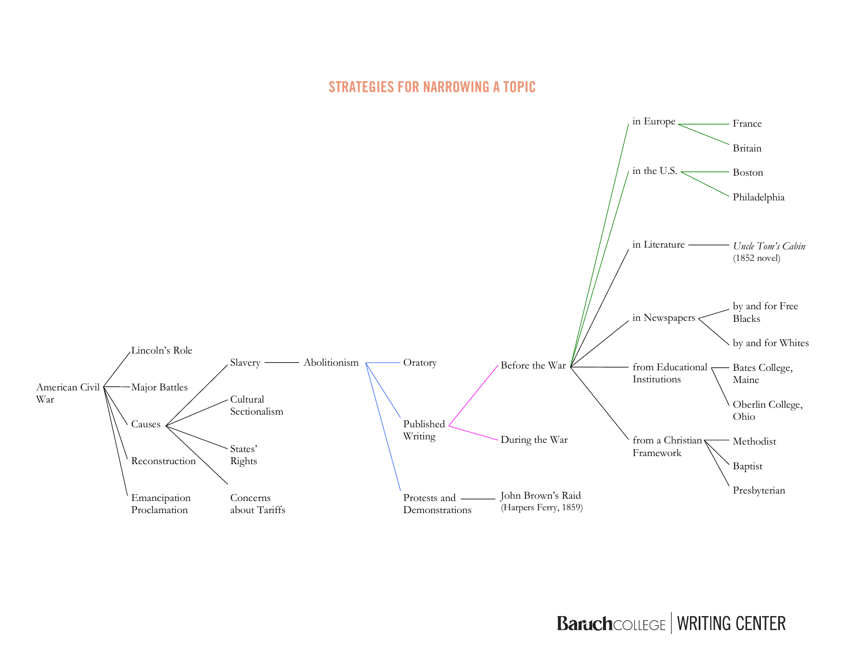## **STRATEGIES FOR NARROWING A TOPIC**